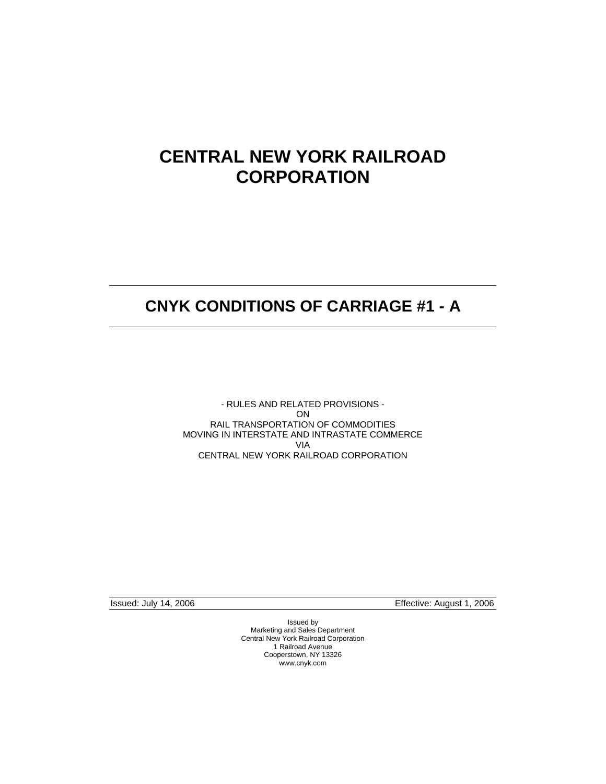# **CENTRAL NEW YORK RAILROAD CORPORATION**

## **CNYK CONDITIONS OF CARRIAGE #1 - A**

- RULES AND RELATED PROVISIONS - ON RAIL TRANSPORTATION OF COMMODITIES MOVING IN INTERSTATE AND INTRASTATE COMMERCE VIA CENTRAL NEW YORK RAILROAD CORPORATION

Issued: July 14, 2006 Effective: August 1, 2006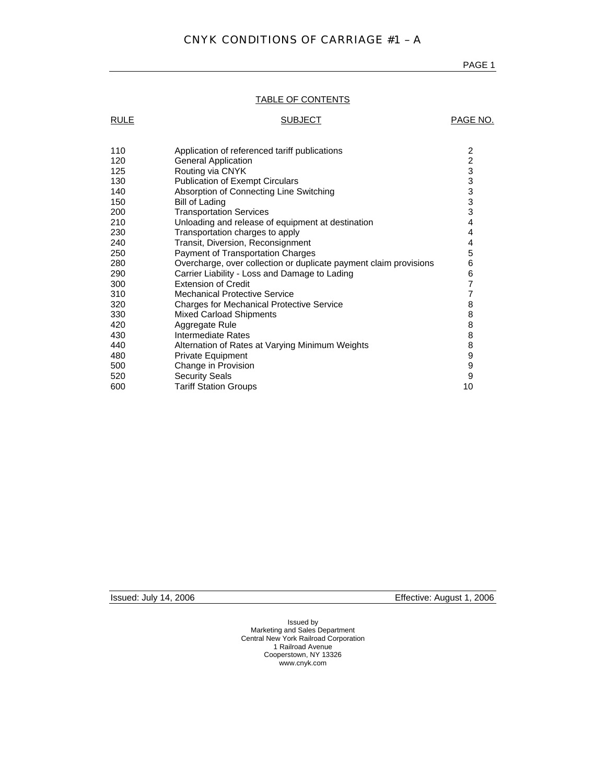## TABLE OF CONTENTS

| <b>RULE</b> | <b>SUBJECT</b>                                                    | PAGE NO.        |
|-------------|-------------------------------------------------------------------|-----------------|
|             |                                                                   |                 |
| 110         | Application of referenced tariff publications                     | $\overline{2}$  |
| 120         | <b>General Application</b>                                        |                 |
| 125         | Routing via CNYK                                                  | $2333$<br>$333$ |
| 130         | <b>Publication of Exempt Circulars</b>                            |                 |
| 140         | Absorption of Connecting Line Switching                           |                 |
| 150         | <b>Bill of Lading</b>                                             |                 |
| 200         | <b>Transportation Services</b>                                    |                 |
| 210         | Unloading and release of equipment at destination                 | 4               |
| 230         | Transportation charges to apply                                   | 4               |
| 240         | Transit, Diversion, Reconsignment                                 | 4               |
| 250         | Payment of Transportation Charges                                 | 5               |
| 280         | Overcharge, over collection or duplicate payment claim provisions | 6               |
| 290         | Carrier Liability - Loss and Damage to Lading                     | 6               |
| 300         | <b>Extension of Credit</b>                                        | $\overline{7}$  |
| 310         | <b>Mechanical Protective Service</b>                              | 7               |
| 320         | <b>Charges for Mechanical Protective Service</b>                  | 8               |
| 330         | <b>Mixed Carload Shipments</b>                                    | 8               |
| 420         | Aggregate Rule                                                    | 8               |
| 430         | Intermediate Rates                                                | 8               |
| 440         | Alternation of Rates at Varying Minimum Weights                   | 8               |
| 480         | Private Equipment                                                 | 9               |
| 500         | Change in Provision                                               | 9               |
| 520         | <b>Security Seals</b>                                             | 9               |
| 600         | <b>Tariff Station Groups</b>                                      | 10              |
|             |                                                                   |                 |

Issued: July 14, 2006 Effective: August 1, 2006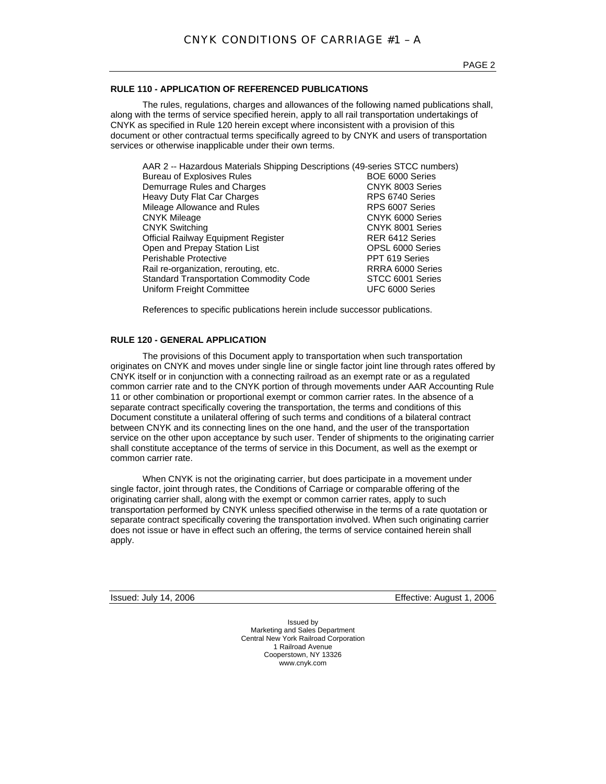## **RULE 110 - APPLICATION OF REFERENCED PUBLICATIONS**

The rules, regulations, charges and allowances of the following named publications shall, along with the terms of service specified herein, apply to all rail transportation undertakings of CNYK as specified in Rule 120 herein except where inconsistent with a provision of this document or other contractual terms specifically agreed to by CNYK and users of transportation services or otherwise inapplicable under their own terms.

| AAR 2 -- Hazardous Materials Shipping Descriptions (49-series STCC numbers) |                  |
|-----------------------------------------------------------------------------|------------------|
| <b>Bureau of Explosives Rules</b>                                           | BOE 6000 Series  |
| Demurrage Rules and Charges                                                 | CNYK 8003 Series |
| Heavy Duty Flat Car Charges                                                 | RPS 6740 Series  |
| Mileage Allowance and Rules                                                 | RPS 6007 Series  |
| <b>CNYK Mileage</b>                                                         | CNYK 6000 Series |
| <b>CNYK Switching</b>                                                       | CNYK 8001 Series |
| Official Railway Equipment Register                                         | RER 6412 Series  |
| Open and Prepay Station List                                                | OPSL 6000 Series |
| Perishable Protective                                                       | PPT 619 Series   |
| Rail re-organization, rerouting, etc.                                       | RRRA 6000 Series |
| <b>Standard Transportation Commodity Code</b>                               | STCC 6001 Series |
| Uniform Freight Committee                                                   | UFC 6000 Series  |

References to specific publications herein include successor publications.

## **RULE 120 - GENERAL APPLICATION**

The provisions of this Document apply to transportation when such transportation originates on CNYK and moves under single line or single factor joint line through rates offered by CNYK itself or in conjunction with a connecting railroad as an exempt rate or as a regulated common carrier rate and to the CNYK portion of through movements under AAR Accounting Rule 11 or other combination or proportional exempt or common carrier rates. In the absence of a separate contract specifically covering the transportation, the terms and conditions of this Document constitute a unilateral offering of such terms and conditions of a bilateral contract between CNYK and its connecting lines on the one hand, and the user of the transportation service on the other upon acceptance by such user. Tender of shipments to the originating carrier shall constitute acceptance of the terms of service in this Document, as well as the exempt or common carrier rate.

When CNYK is not the originating carrier, but does participate in a movement under single factor, joint through rates, the Conditions of Carriage or comparable offering of the originating carrier shall, along with the exempt or common carrier rates, apply to such transportation performed by CNYK unless specified otherwise in the terms of a rate quotation or separate contract specifically covering the transportation involved. When such originating carrier does not issue or have in effect such an offering, the terms of service contained herein shall apply.

Issued: July 14, 2006 Effective: August 1, 2006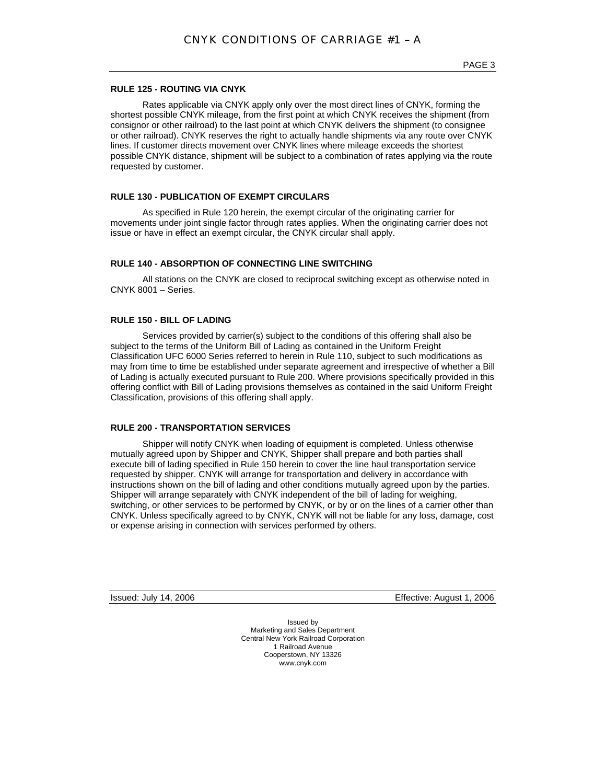## **RULE 125 - ROUTING VIA CNYK**

Rates applicable via CNYK apply only over the most direct lines of CNYK, forming the shortest possible CNYK mileage, from the first point at which CNYK receives the shipment (from consignor or other railroad) to the last point at which CNYK delivers the shipment (to consignee or other railroad). CNYK reserves the right to actually handle shipments via any route over CNYK lines. If customer directs movement over CNYK lines where mileage exceeds the shortest possible CNYK distance, shipment will be subject to a combination of rates applying via the route requested by customer.

## **RULE 130 - PUBLICATION OF EXEMPT CIRCULARS**

As specified in Rule 120 herein, the exempt circular of the originating carrier for movements under joint single factor through rates applies. When the originating carrier does not issue or have in effect an exempt circular, the CNYK circular shall apply.

#### **RULE 140 - ABSORPTION OF CONNECTING LINE SWITCHING**

All stations on the CNYK are closed to reciprocal switching except as otherwise noted in CNYK 8001 – Series.

#### **RULE 150 - BILL OF LADING**

Services provided by carrier(s) subject to the conditions of this offering shall also be subject to the terms of the Uniform Bill of Lading as contained in the Uniform Freight Classification UFC 6000 Series referred to herein in Rule 110, subject to such modifications as may from time to time be established under separate agreement and irrespective of whether a Bill of Lading is actually executed pursuant to Rule 200. Where provisions specifically provided in this offering conflict with Bill of Lading provisions themselves as contained in the said Uniform Freight Classification, provisions of this offering shall apply.

## **RULE 200 - TRANSPORTATION SERVICES**

Shipper will notify CNYK when loading of equipment is completed. Unless otherwise mutually agreed upon by Shipper and CNYK, Shipper shall prepare and both parties shall execute bill of lading specified in Rule 150 herein to cover the line haul transportation service requested by shipper. CNYK will arrange for transportation and delivery in accordance with instructions shown on the bill of lading and other conditions mutually agreed upon by the parties. Shipper will arrange separately with CNYK independent of the bill of lading for weighing, switching, or other services to be performed by CNYK, or by or on the lines of a carrier other than CNYK. Unless specifically agreed to by CNYK, CNYK will not be liable for any loss, damage, cost or expense arising in connection with services performed by others.

Issued: July 14, 2006 Effective: August 1, 2006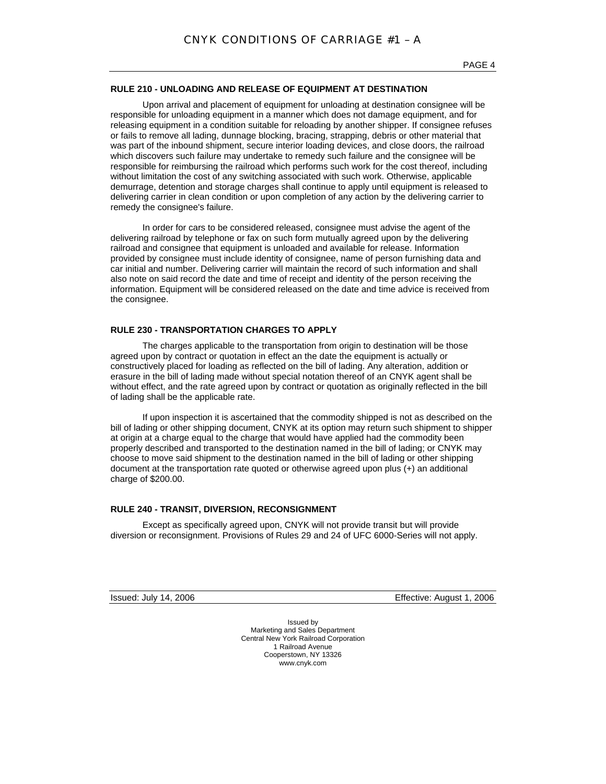## **RULE 210 - UNLOADING AND RELEASE OF EQUIPMENT AT DESTINATION**

Upon arrival and placement of equipment for unloading at destination consignee will be responsible for unloading equipment in a manner which does not damage equipment, and for releasing equipment in a condition suitable for reloading by another shipper. If consignee refuses or fails to remove all lading, dunnage blocking, bracing, strapping, debris or other material that was part of the inbound shipment, secure interior loading devices, and close doors, the railroad which discovers such failure may undertake to remedy such failure and the consignee will be responsible for reimbursing the railroad which performs such work for the cost thereof, including without limitation the cost of any switching associated with such work. Otherwise, applicable demurrage, detention and storage charges shall continue to apply until equipment is released to delivering carrier in clean condition or upon completion of any action by the delivering carrier to remedy the consignee's failure.

In order for cars to be considered released, consignee must advise the agent of the delivering railroad by telephone or fax on such form mutually agreed upon by the delivering railroad and consignee that equipment is unloaded and available for release. Information provided by consignee must include identity of consignee, name of person furnishing data and car initial and number. Delivering carrier will maintain the record of such information and shall also note on said record the date and time of receipt and identity of the person receiving the information. Equipment will be considered released on the date and time advice is received from the consignee.

### **RULE 230 - TRANSPORTATION CHARGES TO APPLY**

The charges applicable to the transportation from origin to destination will be those agreed upon by contract or quotation in effect an the date the equipment is actually or constructively placed for loading as reflected on the bill of lading. Any alteration, addition or erasure in the bill of lading made without special notation thereof of an CNYK agent shall be without effect, and the rate agreed upon by contract or quotation as originally reflected in the bill of lading shall be the applicable rate.

If upon inspection it is ascertained that the commodity shipped is not as described on the bill of lading or other shipping document, CNYK at its option may return such shipment to shipper at origin at a charge equal to the charge that would have applied had the commodity been properly described and transported to the destination named in the bill of lading; or CNYK may choose to move said shipment to the destination named in the bill of lading or other shipping document at the transportation rate quoted or otherwise agreed upon plus (+) an additional charge of \$200.00.

## **RULE 240 - TRANSIT, DIVERSION, RECONSIGNMENT**

Except as specifically agreed upon, CNYK will not provide transit but will provide diversion or reconsignment. Provisions of Rules 29 and 24 of UFC 6000-Series will not apply.

Issued: July 14, 2006 Effective: August 1, 2006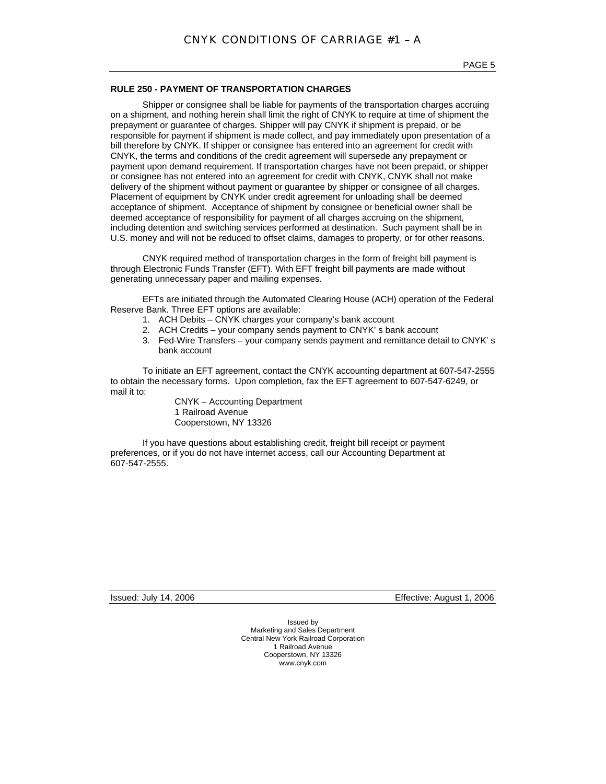## **RULE 250 - PAYMENT OF TRANSPORTATION CHARGES**

Shipper or consignee shall be liable for payments of the transportation charges accruing on a shipment, and nothing herein shall limit the right of CNYK to require at time of shipment the prepayment or guarantee of charges. Shipper will pay CNYK if shipment is prepaid, or be responsible for payment if shipment is made collect, and pay immediately upon presentation of a bill therefore by CNYK. If shipper or consignee has entered into an agreement for credit with CNYK, the terms and conditions of the credit agreement will supersede any prepayment or payment upon demand requirement. If transportation charges have not been prepaid, or shipper or consignee has not entered into an agreement for credit with CNYK, CNYK shall not make delivery of the shipment without payment or guarantee by shipper or consignee of all charges. Placement of equipment by CNYK under credit agreement for unloading shall be deemed acceptance of shipment. Acceptance of shipment by consignee or beneficial owner shall be deemed acceptance of responsibility for payment of all charges accruing on the shipment, including detention and switching services performed at destination. Such payment shall be in U.S. money and will not be reduced to offset claims, damages to property, or for other reasons.

CNYK required method of transportation charges in the form of freight bill payment is through Electronic Funds Transfer (EFT). With EFT freight bill payments are made without generating unnecessary paper and mailing expenses.

EFTs are initiated through the Automated Clearing House (ACH) operation of the Federal Reserve Bank. Three EFT options are available:

- 1. ACH Debits CNYK charges your company's bank account
- 2. ACH Credits your company sends payment to CNYK' s bank account
- 3. Fed-Wire Transfers your company sends payment and remittance detail to CNYK' s bank account

To initiate an EFT agreement, contact the CNYK accounting department at 607-547-2555 to obtain the necessary forms. Upon completion, fax the EFT agreement to 607-547-6249, or mail it to:

CNYK – Accounting Department 1 Railroad Avenue Cooperstown, NY 13326

If you have questions about establishing credit, freight bill receipt or payment preferences, or if you do not have internet access, call our Accounting Department at 607-547-2555.

Issued: July 14, 2006 Effective: August 1, 2006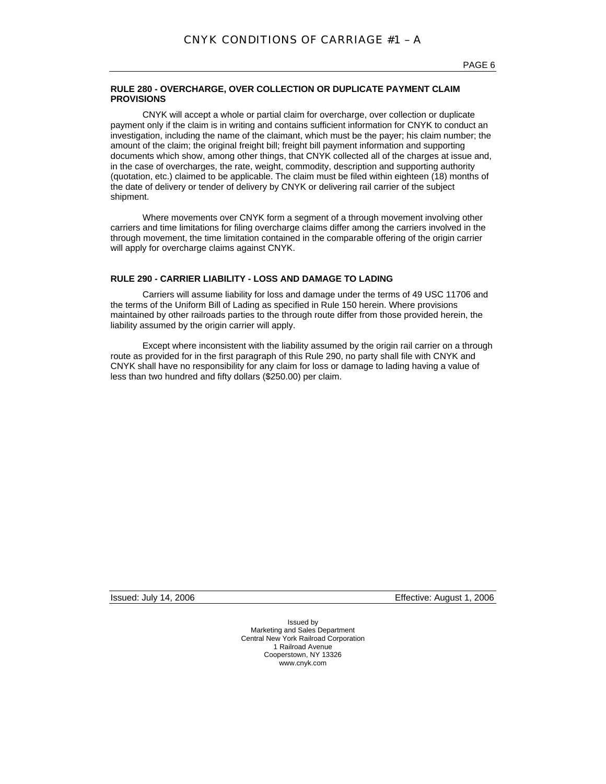## **RULE 280 - OVERCHARGE, OVER COLLECTION OR DUPLICATE PAYMENT CLAIM PROVISIONS**

CNYK will accept a whole or partial claim for overcharge, over collection or duplicate payment only if the claim is in writing and contains sufficient information for CNYK to conduct an investigation, including the name of the claimant, which must be the payer; his claim number; the amount of the claim; the original freight bill; freight bill payment information and supporting documents which show, among other things, that CNYK collected all of the charges at issue and, in the case of overcharges, the rate, weight, commodity, description and supporting authority (quotation, etc.) claimed to be applicable. The claim must be filed within eighteen (18) months of the date of delivery or tender of delivery by CNYK or delivering rail carrier of the subject shipment.

Where movements over CNYK form a segment of a through movement involving other carriers and time limitations for filing overcharge claims differ among the carriers involved in the through movement, the time limitation contained in the comparable offering of the origin carrier will apply for overcharge claims against CNYK.

## **RULE 290 - CARRIER LIABILITY - LOSS AND DAMAGE TO LADING**

Carriers will assume liability for loss and damage under the terms of 49 USC 11706 and the terms of the Uniform Bill of Lading as specified in Rule 150 herein. Where provisions maintained by other railroads parties to the through route differ from those provided herein, the liability assumed by the origin carrier will apply.

Except where inconsistent with the liability assumed by the origin rail carrier on a through route as provided for in the first paragraph of this Rule 290, no party shall file with CNYK and CNYK shall have no responsibility for any claim for loss or damage to lading having a value of less than two hundred and fifty dollars (\$250.00) per claim.

Issued: July 14, 2006 Effective: August 1, 2006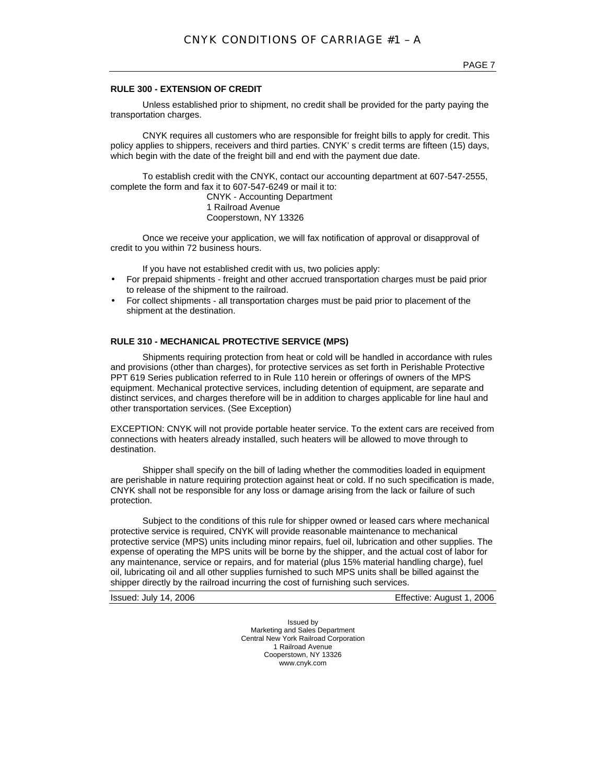## **RULE 300 - EXTENSION OF CREDIT**

Unless established prior to shipment, no credit shall be provided for the party paying the transportation charges.

CNYK requires all customers who are responsible for freight bills to apply for credit. This policy applies to shippers, receivers and third parties. CNYK' s credit terms are fifteen (15) days, which begin with the date of the freight bill and end with the payment due date.

To establish credit with the CNYK, contact our accounting department at 607-547-2555, complete the form and fax it to 607-547-6249 or mail it to:

CNYK - Accounting Department 1 Railroad Avenue Cooperstown, NY 13326

Once we receive your application, we will fax notification of approval or disapproval of credit to you within 72 business hours.

If you have not established credit with us, two policies apply:

- For prepaid shipments freight and other accrued transportation charges must be paid prior to release of the shipment to the railroad.
- For collect shipments all transportation charges must be paid prior to placement of the shipment at the destination.

## **RULE 310 - MECHANICAL PROTECTIVE SERVICE (MPS)**

Shipments requiring protection from heat or cold will be handled in accordance with rules and provisions (other than charges), for protective services as set forth in Perishable Protective PPT 619 Series publication referred to in Rule 110 herein or offerings of owners of the MPS equipment. Mechanical protective services, including detention of equipment, are separate and distinct services, and charges therefore will be in addition to charges applicable for line haul and other transportation services. (See Exception)

EXCEPTION: CNYK will not provide portable heater service. To the extent cars are received from connections with heaters already installed, such heaters will be allowed to move through to destination.

Shipper shall specify on the bill of lading whether the commodities loaded in equipment are perishable in nature requiring protection against heat or cold. If no such specification is made, CNYK shall not be responsible for any loss or damage arising from the lack or failure of such protection.

Subject to the conditions of this rule for shipper owned or leased cars where mechanical protective service is required, CNYK will provide reasonable maintenance to mechanical protective service (MPS) units including minor repairs, fuel oil, lubrication and other supplies. The expense of operating the MPS units will be borne by the shipper, and the actual cost of labor for any maintenance, service or repairs, and for material (plus 15% material handling charge), fuel oil, lubricating oil and all other supplies furnished to such MPS units shall be billed against the shipper directly by the railroad incurring the cost of furnishing such services.

Issued: July 14, 2006 Effective: August 1, 2006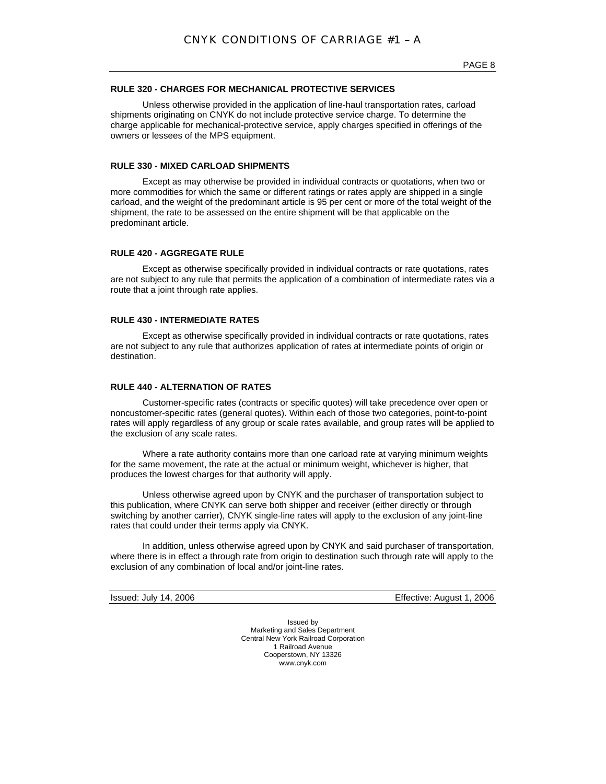## **RULE 320 - CHARGES FOR MECHANICAL PROTECTIVE SERVICES**

Unless otherwise provided in the application of line-haul transportation rates, carload shipments originating on CNYK do not include protective service charge. To determine the charge applicable for mechanical-protective service, apply charges specified in offerings of the owners or lessees of the MPS equipment.

#### **RULE 330 - MIXED CARLOAD SHIPMENTS**

Except as may otherwise be provided in individual contracts or quotations, when two or more commodities for which the same or different ratings or rates apply are shipped in a single carload, and the weight of the predominant article is 95 per cent or more of the total weight of the shipment, the rate to be assessed on the entire shipment will be that applicable on the predominant article.

#### **RULE 420 - AGGREGATE RULE**

Except as otherwise specifically provided in individual contracts or rate quotations, rates are not subject to any rule that permits the application of a combination of intermediate rates via a route that a joint through rate applies.

#### **RULE 430 - INTERMEDIATE RATES**

Except as otherwise specifically provided in individual contracts or rate quotations, rates are not subject to any rule that authorizes application of rates at intermediate points of origin or destination.

#### **RULE 440 - ALTERNATION OF RATES**

Customer-specific rates (contracts or specific quotes) will take precedence over open or noncustomer-specific rates (general quotes). Within each of those two categories, point-to-point rates will apply regardless of any group or scale rates available, and group rates will be applied to the exclusion of any scale rates.

Where a rate authority contains more than one carload rate at varying minimum weights for the same movement, the rate at the actual or minimum weight, whichever is higher, that produces the lowest charges for that authority will apply.

Unless otherwise agreed upon by CNYK and the purchaser of transportation subject to this publication, where CNYK can serve both shipper and receiver (either directly or through switching by another carrier), CNYK single-line rates will apply to the exclusion of any joint-line rates that could under their terms apply via CNYK.

In addition, unless otherwise agreed upon by CNYK and said purchaser of transportation, where there is in effect a through rate from origin to destination such through rate will apply to the exclusion of any combination of local and/or joint-line rates.

Issued: July 14, 2006 Effective: August 1, 2006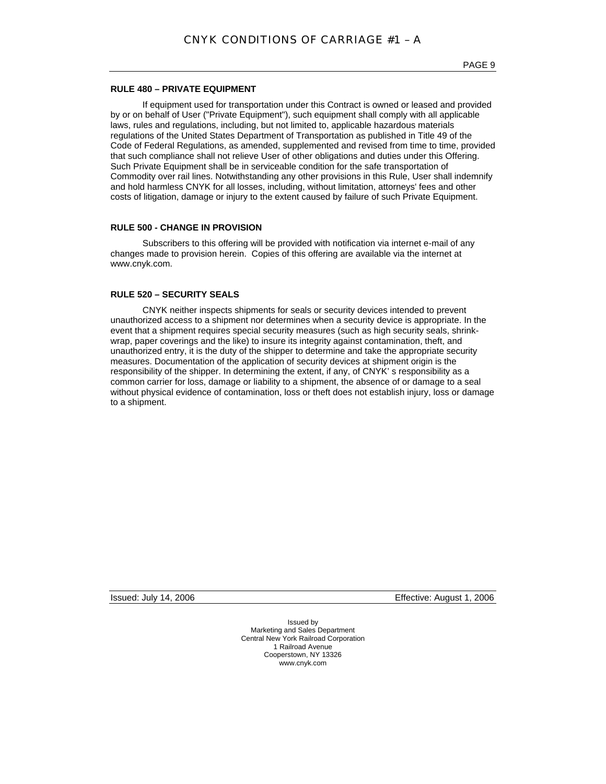## **RULE 480 – PRIVATE EQUIPMENT**

If equipment used for transportation under this Contract is owned or leased and provided by or on behalf of User ("Private Equipment"), such equipment shall comply with all applicable laws, rules and regulations, including, but not limited to, applicable hazardous materials regulations of the United States Department of Transportation as published in Title 49 of the Code of Federal Regulations, as amended, supplemented and revised from time to time, provided that such compliance shall not relieve User of other obligations and duties under this Offering. Such Private Equipment shall be in serviceable condition for the safe transportation of Commodity over rail lines. Notwithstanding any other provisions in this Rule, User shall indemnify and hold harmless CNYK for all losses, including, without limitation, attorneys' fees and other costs of litigation, damage or injury to the extent caused by failure of such Private Equipment.

## **RULE 500 - CHANGE IN PROVISION**

Subscribers to this offering will be provided with notification via internet e-mail of any changes made to provision herein. Copies of this offering are available via the internet at www.cnyk.com.

## **RULE 520 – SECURITY SEALS**

CNYK neither inspects shipments for seals or security devices intended to prevent unauthorized access to a shipment nor determines when a security device is appropriate. In the event that a shipment requires special security measures (such as high security seals, shrinkwrap, paper coverings and the like) to insure its integrity against contamination, theft, and unauthorized entry, it is the duty of the shipper to determine and take the appropriate security measures. Documentation of the application of security devices at shipment origin is the responsibility of the shipper. In determining the extent, if any, of CNYK' s responsibility as a common carrier for loss, damage or liability to a shipment, the absence of or damage to a seal without physical evidence of contamination, loss or theft does not establish injury, loss or damage to a shipment.

Issued: July 14, 2006 Effective: August 1, 2006